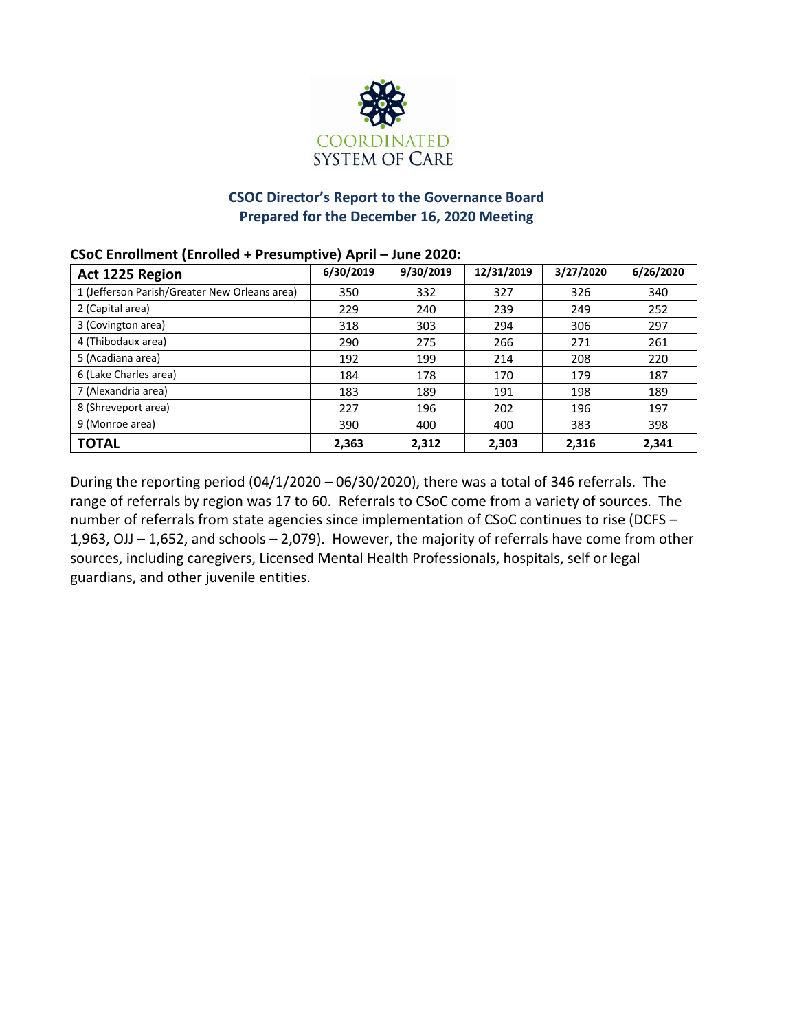

# **CSOC Director's Report to the Governance Board Prepared for the December 16, 2020 Meeting**

# **Act 1225 Region 6/30/2019 9/30/2019 12/31/2019 3/27/2020 6/26/2020** 1 (Jefferson Parish/Greater New Orleans area) 350 332 327 326 340 2 (Capital area) 229 229 229 239 249 252 3 (Covington area) 1 297 | 318 | 303 | 294 | 306 | 297 4 (Thibodaux area) 290 275 266 271 261 5 (Acadiana area) 192 199 214 208 220 6 (Lake Charles area) 184 | 178 | 170 | 179 | 187 7 (Alexandria area) 183 | 183 | 189 | 191 | 198 | 189 8 (Shreveport area) 227 | 196 | 202 | 196 | 197 9 (Monroe area) 390 400 400 383 398 **TOTAL 2,363 2,312 2,303 2,316 2,341**

### **CSoC Enrollment (Enrolled + Presumptive) April – June 2020:**

During the reporting period (04/1/2020 – 06/30/2020), there was a total of 346 referrals. The range of referrals by region was 17 to 60. Referrals to CSoC come from a variety of sources. The number of referrals from state agencies since implementation of CSoC continues to rise (DCFS – 1,963, OJJ – 1,652, and schools – 2,079). However, the majority of referrals have come from other sources, including caregivers, Licensed Mental Health Professionals, hospitals, self or legal guardians, and other juvenile entities.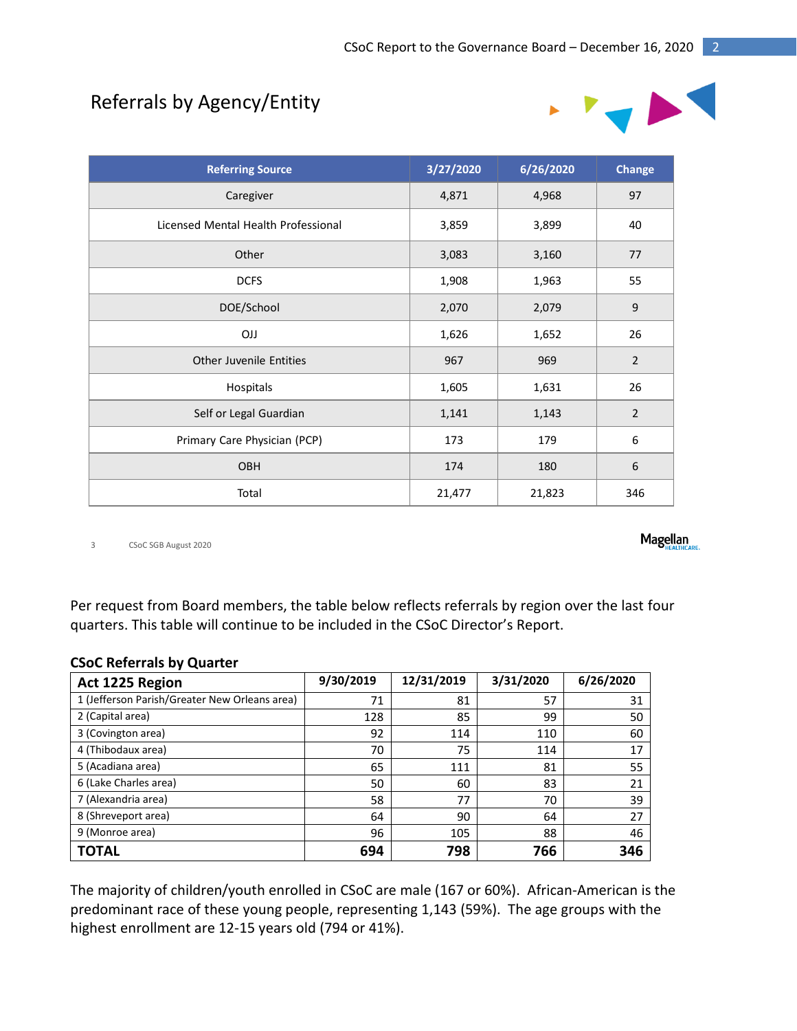# Referrals by Agency/Entity



| <b>Referring Source</b>             | 3/27/2020 | 6/26/2020 | <b>Change</b>  |
|-------------------------------------|-----------|-----------|----------------|
| Caregiver                           | 4,871     | 4,968     | 97             |
| Licensed Mental Health Professional | 3,859     | 3,899     | 40             |
| Other                               | 3,083     | 3,160     | 77             |
| <b>DCFS</b>                         | 1,908     | 1,963     | 55             |
| DOE/School                          | 2,070     | 2,079     | $\mathsf 9$    |
| <b>OJJ</b>                          | 1,626     | 1,652     | 26             |
| <b>Other Juvenile Entities</b>      | 967       | 969       | $\overline{2}$ |
| Hospitals                           | 1,605     | 1,631     | 26             |
| Self or Legal Guardian              | 1,141     | 1,143     | $\overline{2}$ |
| Primary Care Physician (PCP)        | 173       | 179       | 6              |
| <b>OBH</b>                          | 174       | 180       | $\,6\,$        |
| Total                               | 21,477    | 21,823    | 346            |

3 CSoC SGB August 2020

Per request from Board members, the table below reflects referrals by region over the last four quarters. This table will continue to be included in the CSoC Director's Report.

### **CSoC Referrals by Quarter**

| Act 1225 Region                               | 9/30/2019 | 12/31/2019 | 3/31/2020 | 6/26/2020 |
|-----------------------------------------------|-----------|------------|-----------|-----------|
| 1 (Jefferson Parish/Greater New Orleans area) | 71        | 81         | 57        | 31        |
| 2 (Capital area)                              | 128       | 85         | 99        | 50        |
| 3 (Covington area)                            | 92        | 114        | 110       | 60        |
| 4 (Thibodaux area)                            | 70        | 75         | 114       | 17        |
| 5 (Acadiana area)                             | 65        | 111        | 81        | 55        |
| 6 (Lake Charles area)                         | 50        | 60         | 83        | 21        |
| 7 (Alexandria area)                           | 58        | 77         | 70        | 39        |
| 8 (Shreveport area)                           | 64        | 90         | 64        | 27        |
| 9 (Monroe area)                               | 96        | 105        | 88        | 46        |
| <b>TOTAL</b>                                  | 694       | 798        | 766       | 346       |

The majority of children/youth enrolled in CSoC are male (167 or 60%). African-American is the predominant race of these young people, representing 1,143 (59%). The age groups with the highest enrollment are 12-15 years old (794 or 41%).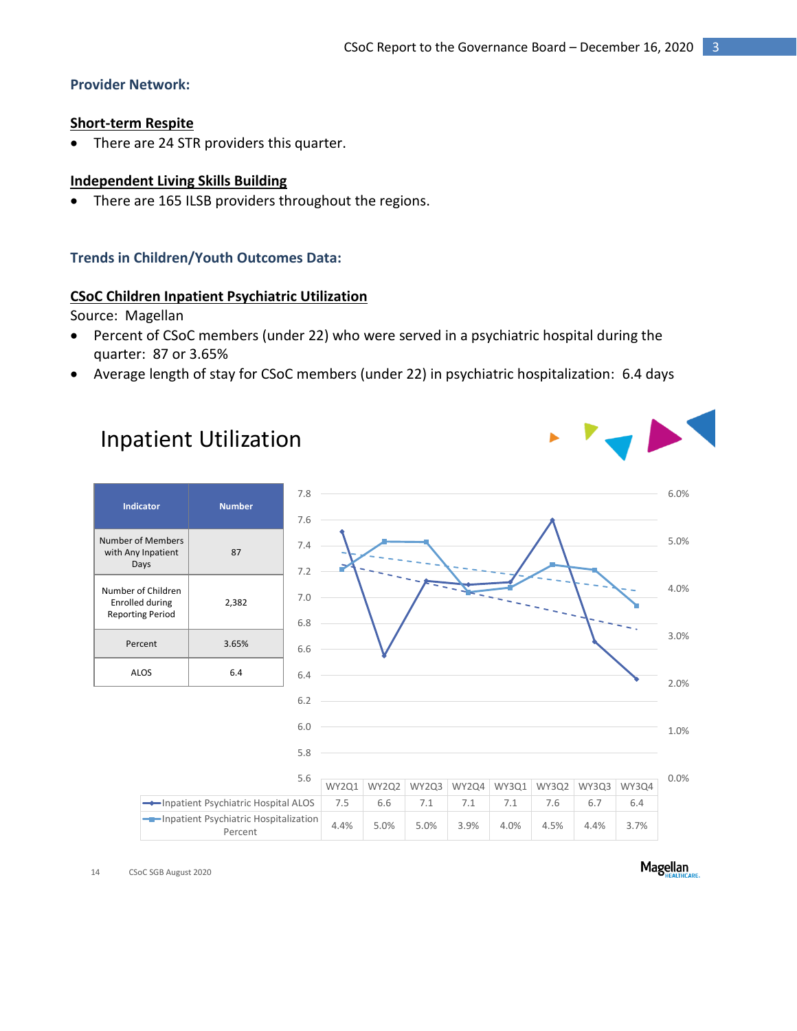# **Provider Network:**

### **Short-term Respite**

• There are 24 STR providers this quarter.

### **Independent Living Skills Building**

There are 165 ILSB providers throughout the regions.

#### **Trends in Children/Youth Outcomes Data:**

#### **CSoC Children Inpatient Psychiatric Utilization**

Source: Magellan

- Percent of CSoC members (under 22) who were served in a psychiatric hospital during the quarter: 87 or 3.65%
- Average length of stay for CSoC members (under 22) in psychiatric hospitalization: 6.4 days

# Inpatient Utilization

| <b>Indicator</b>                                                 | <b>Number</b> |  |
|------------------------------------------------------------------|---------------|--|
| Number of Members<br>with Any Inpatient<br>Days                  | 87            |  |
| Number of Children<br>Enrolled during<br><b>Reporting Period</b> | 2,382         |  |
| Percent                                                          | 3.65%         |  |
| ALOS                                                             | 6.4           |  |



14 CSoC SGB August 2020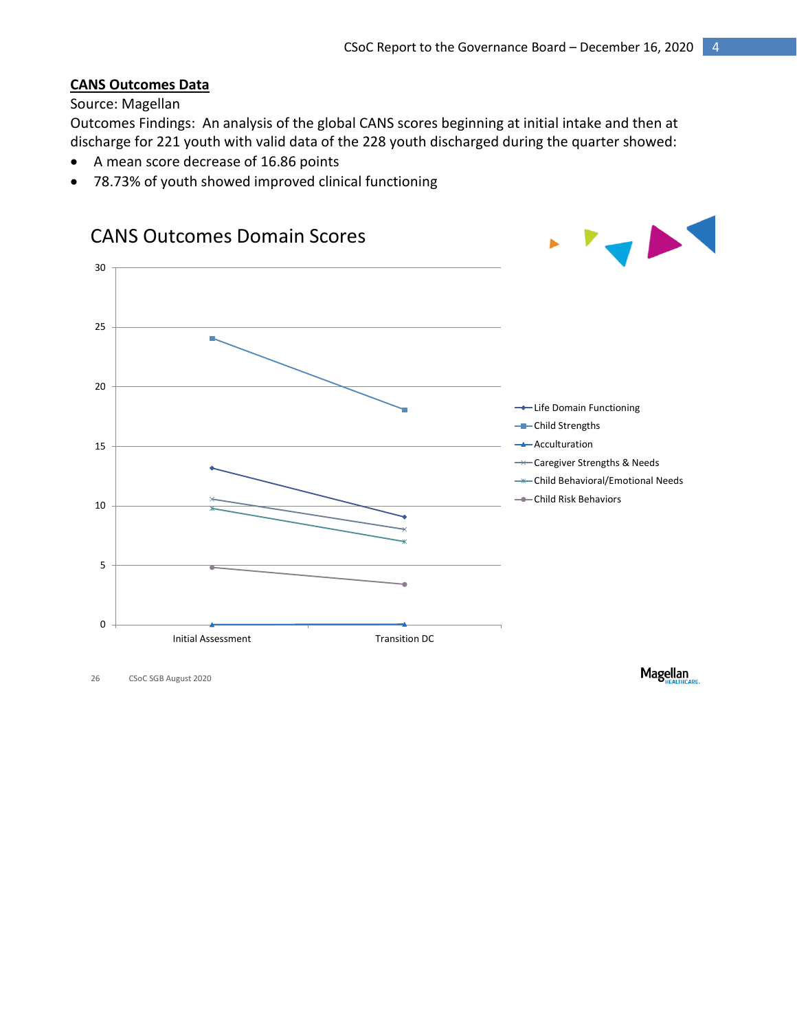# **CANS Outcomes Data**

### Source: Magellan

Outcomes Findings: An analysis of the global CANS scores beginning at initial intake and then at discharge for 221 youth with valid data of the 228 youth discharged during the quarter showed:

- A mean score decrease of 16.86 points
- 78.73% of youth showed improved clinical functioning



26 CSoC SGB August 2020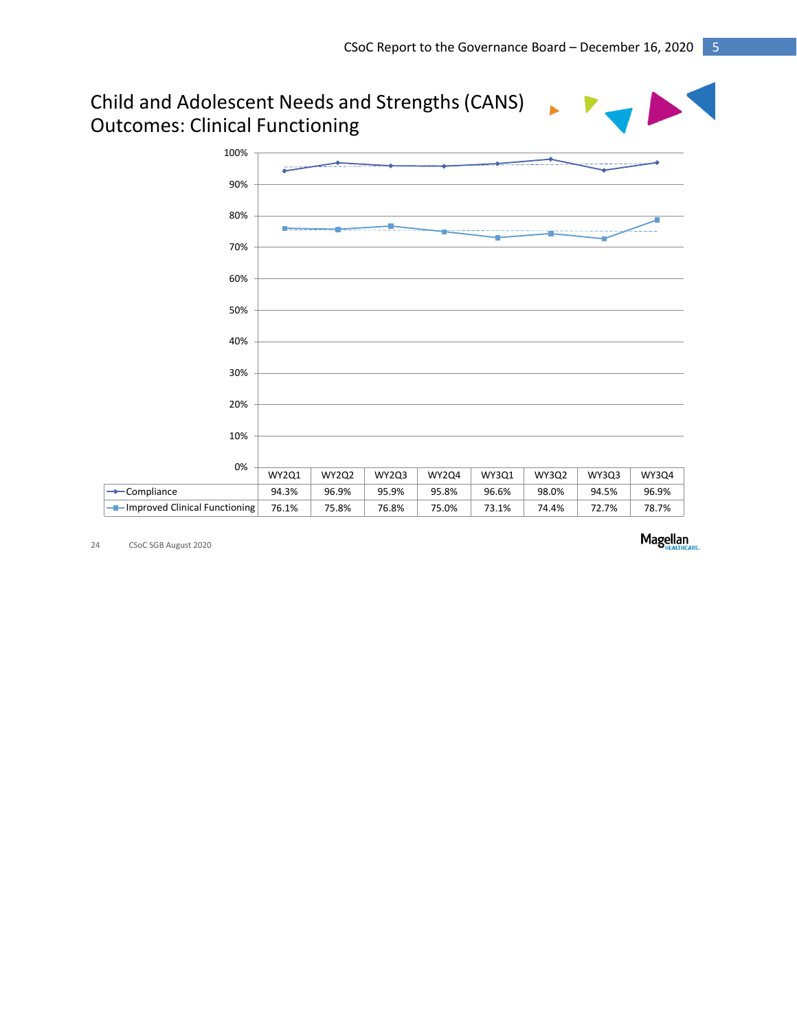# Child and Adolescent Needs and Strengths (CANS) Outcomes: Clinical Functioning



24 CSoC SGB August 2020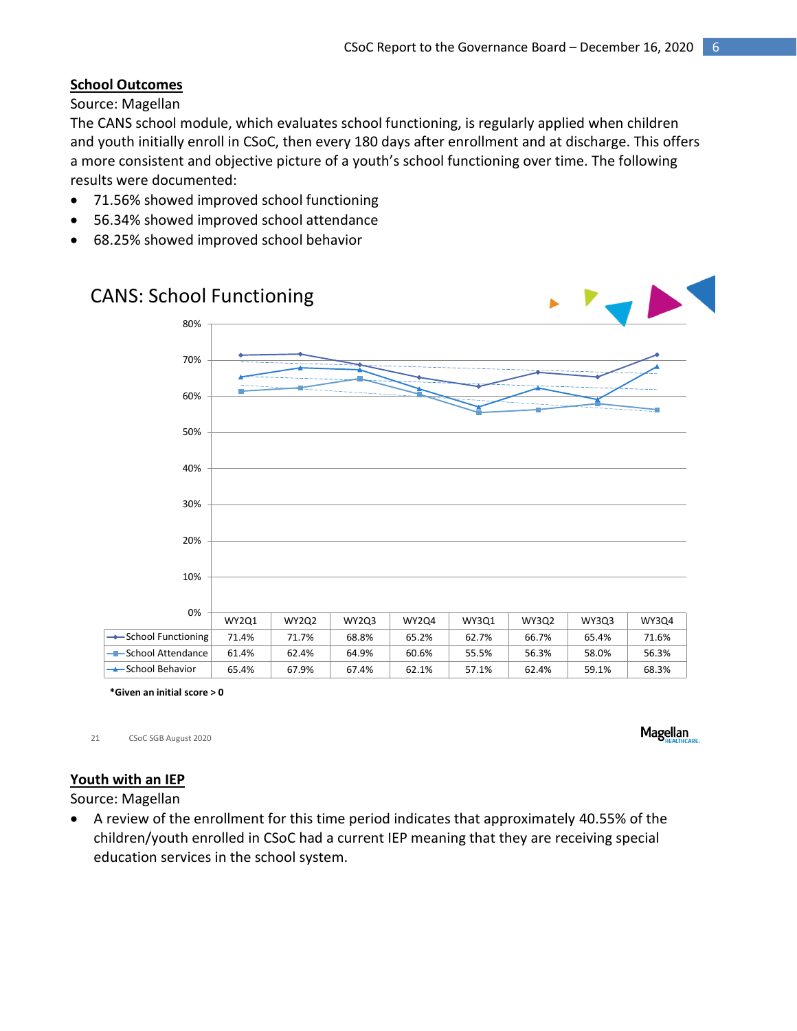# **School Outcomes**

Source: Magellan

The CANS school module, which evaluates school functioning, is regularly applied when children and youth initially enroll in CSoC, then every 180 days after enrollment and at discharge. This offers a more consistent and objective picture of a youth's school functioning over time. The following results were documented:

- 71.56% showed improved school functioning
- 56.34% showed improved school attendance
- 68.25% showed improved school behavior

# CANS: School Functioning WY2Q1 WY2Q2 WY2Q3 WY2Q4 WY3Q1 WY3Q2 WY3Q3 WY3Q4  $\bullet$  School Functioning 71.4% 71.7% 68.8% 65.2% 62.7% 66.7% 65.4% 71.6% School Attendance 61.4% 62.4% 64.9% 60.6% 55.5% 56.3% 58.0% 56.3% School Behavior 65.4% 67.9% 67.4% 62.1% 57.1% 62.4% 59.1% 68.3% 0% 10% 20% 30% 40% 50% 60% 70% 80%

**\*Given an initial score > 0**

21 CSoC SGB August 2020

**Magellan** 

# **Youth with an IEP**

Source: Magellan

 A review of the enrollment for this time period indicates that approximately 40.55% of the children/youth enrolled in CSoC had a current IEP meaning that they are receiving special education services in the school system.